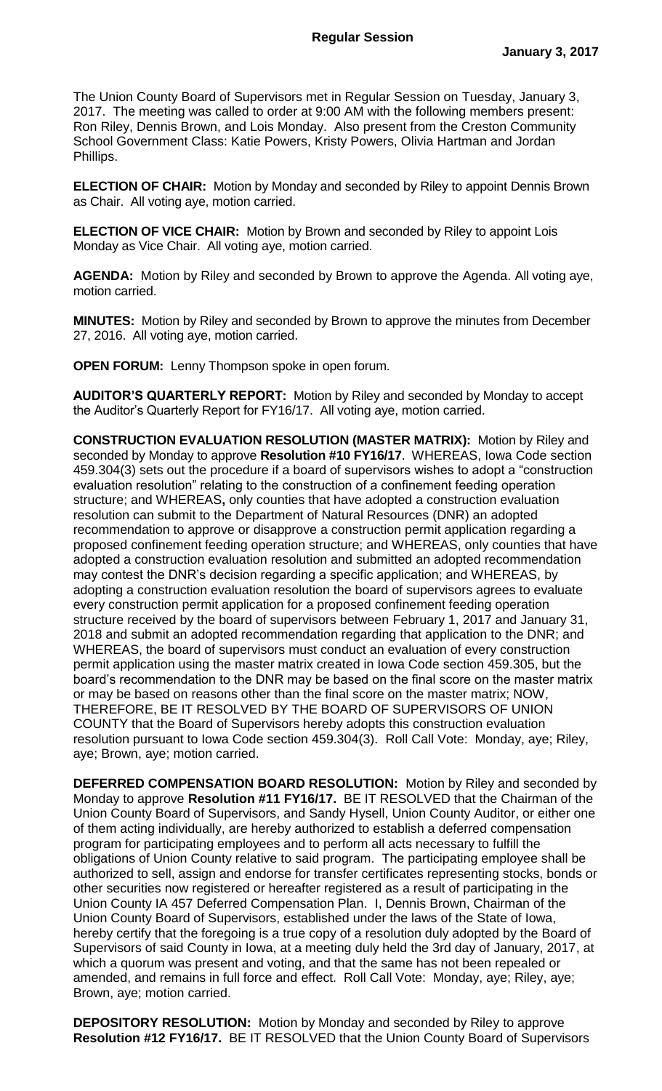The Union County Board of Supervisors met in Regular Session on Tuesday, January 3, 2017. The meeting was called to order at 9:00 AM with the following members present: Ron Riley, Dennis Brown, and Lois Monday. Also present from the Creston Community School Government Class: Katie Powers, Kristy Powers, Olivia Hartman and Jordan Phillips.

**ELECTION OF CHAIR:** Motion by Monday and seconded by Riley to appoint Dennis Brown as Chair. All voting aye, motion carried.

**ELECTION OF VICE CHAIR:** Motion by Brown and seconded by Riley to appoint Lois Monday as Vice Chair. All voting aye, motion carried.

**AGENDA:** Motion by Riley and seconded by Brown to approve the Agenda. All voting aye, motion carried.

**MINUTES:** Motion by Riley and seconded by Brown to approve the minutes from December 27, 2016. All voting aye, motion carried.

**OPEN FORUM:** Lenny Thompson spoke in open forum.

**AUDITOR'S QUARTERLY REPORT:** Motion by Riley and seconded by Monday to accept the Auditor's Quarterly Report for FY16/17. All voting aye, motion carried.

**CONSTRUCTION EVALUATION RESOLUTION (MASTER MATRIX):** Motion by Riley and seconded by Monday to approve **Resolution #10 FY16/17**. WHEREAS, Iowa Code section 459.304(3) sets out the procedure if a board of supervisors wishes to adopt a "construction evaluation resolution" relating to the construction of a confinement feeding operation structure; and WHEREAS**,** only counties that have adopted a construction evaluation resolution can submit to the Department of Natural Resources (DNR) an adopted recommendation to approve or disapprove a construction permit application regarding a proposed confinement feeding operation structure; and WHEREAS, only counties that have adopted a construction evaluation resolution and submitted an adopted recommendation may contest the DNR's decision regarding a specific application; and WHEREAS, by adopting a construction evaluation resolution the board of supervisors agrees to evaluate every construction permit application for a proposed confinement feeding operation structure received by the board of supervisors between February 1, 2017 and January 31, 2018 and submit an adopted recommendation regarding that application to the DNR; and WHEREAS, the board of supervisors must conduct an evaluation of every construction permit application using the master matrix created in Iowa Code section 459.305, but the board's recommendation to the DNR may be based on the final score on the master matrix or may be based on reasons other than the final score on the master matrix; NOW, THEREFORE, BE IT RESOLVED BY THE BOARD OF SUPERVISORS OF UNION COUNTY that the Board of Supervisors hereby adopts this construction evaluation resolution pursuant to Iowa Code section 459.304(3). Roll Call Vote: Monday, aye; Riley, aye; Brown, aye; motion carried.

**DEFERRED COMPENSATION BOARD RESOLUTION:** Motion by Riley and seconded by Monday to approve **Resolution #11 FY16/17.** BE IT RESOLVED that the Chairman of the Union County Board of Supervisors, and Sandy Hysell, Union County Auditor, or either one of them acting individually, are hereby authorized to establish a deferred compensation program for participating employees and to perform all acts necessary to fulfill the obligations of Union County relative to said program. The participating employee shall be authorized to sell, assign and endorse for transfer certificates representing stocks, bonds or other securities now registered or hereafter registered as a result of participating in the Union County IA 457 Deferred Compensation Plan. I, Dennis Brown, Chairman of the Union County Board of Supervisors, established under the laws of the State of Iowa, hereby certify that the foregoing is a true copy of a resolution duly adopted by the Board of Supervisors of said County in Iowa, at a meeting duly held the 3rd day of January, 2017, at which a quorum was present and voting, and that the same has not been repealed or amended, and remains in full force and effect. Roll Call Vote: Monday, aye; Riley, aye; Brown, aye; motion carried.

**DEPOSITORY RESOLUTION:** Motion by Monday and seconded by Riley to approve **Resolution #12 FY16/17.** BE IT RESOLVED that the Union County Board of Supervisors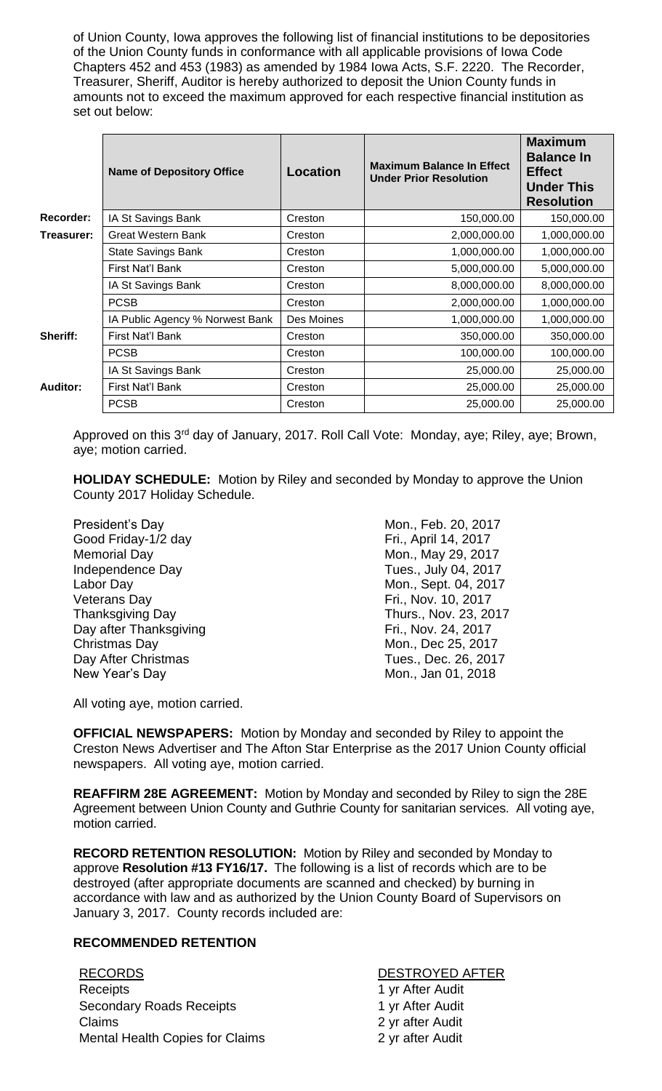of Union County, Iowa approves the following list of financial institutions to be depositories of the Union County funds in conformance with all applicable provisions of Iowa Code Chapters 452 and 453 (1983) as amended by 1984 Iowa Acts, S.F. 2220. The Recorder, Treasurer, Sheriff, Auditor is hereby authorized to deposit the Union County funds in amounts not to exceed the maximum approved for each respective financial institution as set out below:

|                 | <b>Name of Depository Office</b> | <b>Location</b> | <b>Maximum Balance In Effect</b><br><b>Under Prior Resolution</b> | <b>Maximum</b><br><b>Balance In</b><br><b>Effect</b><br><b>Under This</b><br><b>Resolution</b> |
|-----------------|----------------------------------|-----------------|-------------------------------------------------------------------|------------------------------------------------------------------------------------------------|
| Recorder:       | IA St Savings Bank               | Creston         | 150,000.00                                                        | 150,000.00                                                                                     |
| Treasurer:      | <b>Great Western Bank</b>        | Creston         | 2,000,000.00                                                      | 1,000,000.00                                                                                   |
|                 | <b>State Savings Bank</b>        | Creston         | 1,000,000.00                                                      | 1,000,000.00                                                                                   |
|                 | First Nat'l Bank                 | Creston         | 5,000,000.00                                                      | 5,000,000.00                                                                                   |
|                 | IA St Savings Bank               | Creston         | 8,000,000.00                                                      | 8,000,000.00                                                                                   |
|                 | <b>PCSB</b>                      | Creston         | 2,000,000.00                                                      | 1,000,000.00                                                                                   |
| Sheriff:        | IA Public Agency % Norwest Bank  | Des Moines      | 1,000,000.00                                                      | 1,000,000.00                                                                                   |
|                 | First Nat'l Bank                 | Creston         | 350,000.00                                                        | 350,000.00                                                                                     |
|                 | <b>PCSB</b>                      | Creston         | 100,000.00                                                        | 100,000.00                                                                                     |
| <b>Auditor:</b> | IA St Savings Bank               | Creston         | 25,000.00                                                         | 25,000.00                                                                                      |
|                 | First Nat'l Bank                 | Creston         | 25,000.00                                                         | 25,000.00                                                                                      |
|                 | <b>PCSB</b>                      | Creston         | 25,000.00                                                         | 25,000.00                                                                                      |

Approved on this 3<sup>rd</sup> day of January, 2017. Roll Call Vote: Monday, aye; Riley, aye; Brown, aye; motion carried.

**HOLIDAY SCHEDULE:** Motion by Riley and seconded by Monday to approve the Union County 2017 Holiday Schedule.

| Mon., Feb. 20, 2017   |
|-----------------------|
| Fri., April 14, 2017  |
| Mon., May 29, 2017    |
| Tues., July 04, 2017  |
| Mon., Sept. 04, 2017  |
| Fri., Nov. 10, 2017   |
| Thurs., Nov. 23, 2017 |
| Fri., Nov. 24, 2017   |
| Mon., Dec 25, 2017    |
| Tues., Dec. 26, 2017  |
| Mon., Jan 01, 2018    |
|                       |

All voting aye, motion carried.

**OFFICIAL NEWSPAPERS:** Motion by Monday and seconded by Riley to appoint the Creston News Advertiser and The Afton Star Enterprise as the 2017 Union County official newspapers. All voting aye, motion carried.

**REAFFIRM 28E AGREEMENT:** Motion by Monday and seconded by Riley to sign the 28E Agreement between Union County and Guthrie County for sanitarian services. All voting aye, motion carried.

**RECORD RETENTION RESOLUTION:** Motion by Riley and seconded by Monday to approve **Resolution #13 FY16/17.** The following is a list of records which are to be destroyed (after appropriate documents are scanned and checked) by burning in accordance with law and as authorized by the Union County Board of Supervisors on January 3, 2017. County records included are:

## **RECOMMENDED RETENTION**

RECORDS DESTROYED AFTER Receipts **1** yr After Audit Secondary Roads Receipts 1 yr After Audit Claims 2 yr after Audit Mental Health Copies for Claims 2 yr after Audit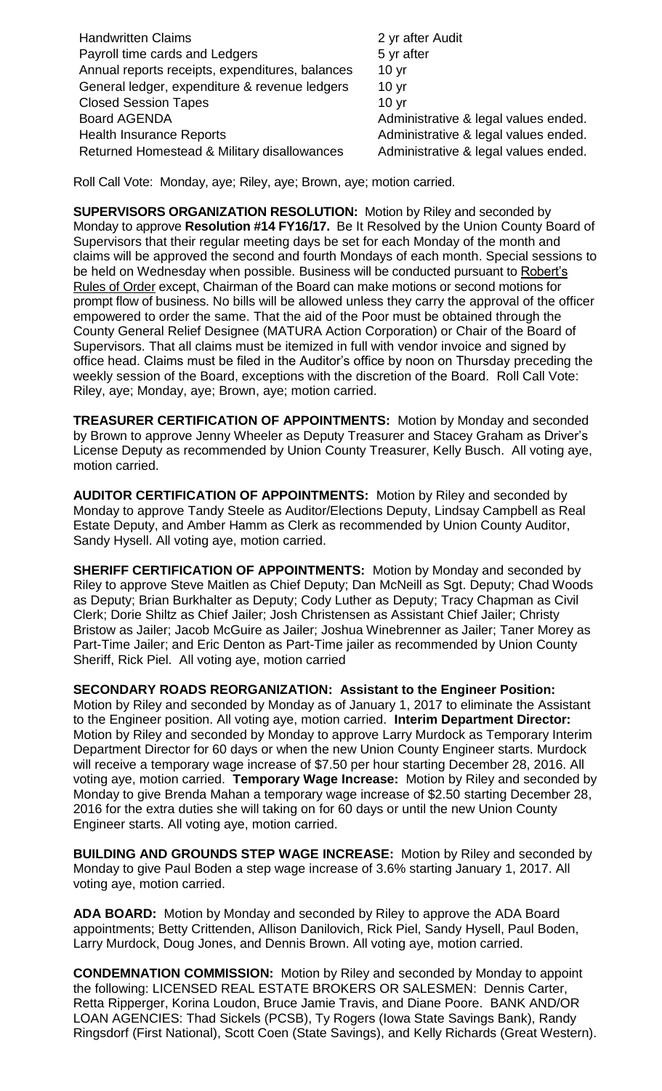| <b>Handwritten Claims</b>                       | 2 yr after Audit                     |
|-------------------------------------------------|--------------------------------------|
| Payroll time cards and Ledgers                  | 5 yr after                           |
| Annual reports receipts, expenditures, balances | 10 <sub>yr</sub>                     |
| General ledger, expenditure & revenue ledgers   | 10 <sub>yr</sub>                     |
| <b>Closed Session Tapes</b>                     | 10 <sub>yr</sub>                     |
| <b>Board AGENDA</b>                             | Administrative & legal values ended. |
| <b>Health Insurance Reports</b>                 | Administrative & legal values ended. |
| Returned Homestead & Military disallowances     | Administrative & legal values ended. |

Roll Call Vote: Monday, aye; Riley, aye; Brown, aye; motion carried.

**SUPERVISORS ORGANIZATION RESOLUTION:** Motion by Riley and seconded by Monday to approve **Resolution #14 FY16/17.** Be It Resolved by the Union County Board of Supervisors that their regular meeting days be set for each Monday of the month and claims will be approved the second and fourth Mondays of each month. Special sessions to be held on Wednesday when possible. Business will be conducted pursuant to Robert's Rules of Order except, Chairman of the Board can make motions or second motions for prompt flow of business. No bills will be allowed unless they carry the approval of the officer empowered to order the same. That the aid of the Poor must be obtained through the County General Relief Designee (MATURA Action Corporation) or Chair of the Board of Supervisors. That all claims must be itemized in full with vendor invoice and signed by office head. Claims must be filed in the Auditor's office by noon on Thursday preceding the weekly session of the Board, exceptions with the discretion of the Board. Roll Call Vote: Riley, aye; Monday, aye; Brown, aye; motion carried.

**TREASURER CERTIFICATION OF APPOINTMENTS:** Motion by Monday and seconded by Brown to approve Jenny Wheeler as Deputy Treasurer and Stacey Graham as Driver's License Deputy as recommended by Union County Treasurer, Kelly Busch. All voting aye, motion carried.

**AUDITOR CERTIFICATION OF APPOINTMENTS:** Motion by Riley and seconded by Monday to approve Tandy Steele as Auditor/Elections Deputy, Lindsay Campbell as Real Estate Deputy, and Amber Hamm as Clerk as recommended by Union County Auditor, Sandy Hysell. All voting aye, motion carried.

**SHERIFF CERTIFICATION OF APPOINTMENTS:** Motion by Monday and seconded by Riley to approve Steve Maitlen as Chief Deputy; Dan McNeill as Sgt. Deputy; Chad Woods as Deputy; Brian Burkhalter as Deputy; Cody Luther as Deputy; Tracy Chapman as Civil Clerk; Dorie Shiltz as Chief Jailer; Josh Christensen as Assistant Chief Jailer; Christy Bristow as Jailer; Jacob McGuire as Jailer; Joshua Winebrenner as Jailer; Taner Morey as Part-Time Jailer; and Eric Denton as Part-Time jailer as recommended by Union County Sheriff, Rick Piel. All voting aye, motion carried

**SECONDARY ROADS REORGANIZATION: Assistant to the Engineer Position:**  Motion by Riley and seconded by Monday as of January 1, 2017 to eliminate the Assistant to the Engineer position. All voting aye, motion carried. **Interim Department Director:** Motion by Riley and seconded by Monday to approve Larry Murdock as Temporary Interim Department Director for 60 days or when the new Union County Engineer starts. Murdock will receive a temporary wage increase of \$7.50 per hour starting December 28, 2016. All voting aye, motion carried. **Temporary Wage Increase:** Motion by Riley and seconded by Monday to give Brenda Mahan a temporary wage increase of \$2.50 starting December 28, 2016 for the extra duties she will taking on for 60 days or until the new Union County Engineer starts. All voting aye, motion carried.

**BUILDING AND GROUNDS STEP WAGE INCREASE:** Motion by Riley and seconded by Monday to give Paul Boden a step wage increase of 3.6% starting January 1, 2017. All voting aye, motion carried.

**ADA BOARD:** Motion by Monday and seconded by Riley to approve the ADA Board appointments; Betty Crittenden, Allison Danilovich, Rick Piel, Sandy Hysell, Paul Boden, Larry Murdock, Doug Jones, and Dennis Brown. All voting aye, motion carried.

**CONDEMNATION COMMISSION:** Motion by Riley and seconded by Monday to appoint the following: LICENSED REAL ESTATE BROKERS OR SALESMEN: Dennis Carter, Retta Ripperger, Korina Loudon, Bruce Jamie Travis, and Diane Poore. BANK AND/OR LOAN AGENCIES: Thad Sickels (PCSB), Ty Rogers (Iowa State Savings Bank), Randy Ringsdorf (First National), Scott Coen (State Savings), and Kelly Richards (Great Western).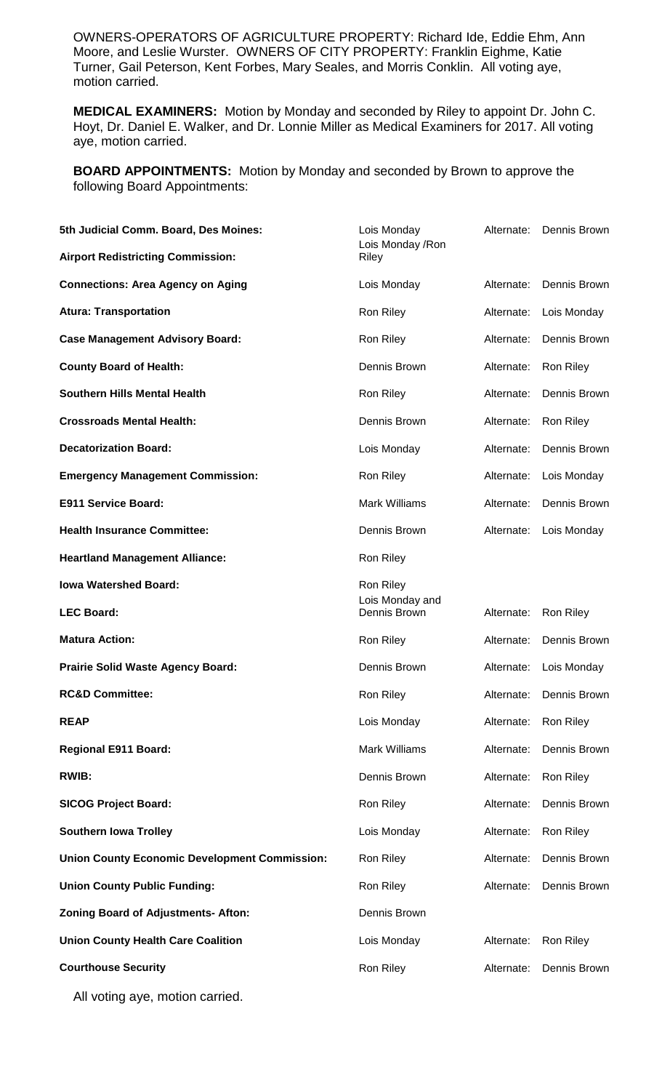OWNERS-OPERATORS OF AGRICULTURE PROPERTY: Richard Ide, Eddie Ehm, Ann Moore, and Leslie Wurster. OWNERS OF CITY PROPERTY: Franklin Eighme, Katie Turner, Gail Peterson, Kent Forbes, Mary Seales, and Morris Conklin. All voting aye, motion carried.

**MEDICAL EXAMINERS:** Motion by Monday and seconded by Riley to appoint Dr. John C. Hoyt, Dr. Daniel E. Walker, and Dr. Lonnie Miller as Medical Examiners for 2017. All voting aye, motion carried.

**BOARD APPOINTMENTS:** Motion by Monday and seconded by Brown to approve the following Board Appointments:

| 5th Judicial Comm. Board, Des Moines:<br><b>Airport Redistricting Commission:</b> | Lois Monday<br>Lois Monday / Ron<br>Riley | Alternate: | Dennis Brown |
|-----------------------------------------------------------------------------------|-------------------------------------------|------------|--------------|
| <b>Connections: Area Agency on Aging</b>                                          | Lois Monday                               | Alternate: | Dennis Brown |
| <b>Atura: Transportation</b>                                                      | Ron Riley                                 | Alternate: | Lois Monday  |
| <b>Case Management Advisory Board:</b>                                            | Ron Riley                                 | Alternate: | Dennis Brown |
| <b>County Board of Health:</b>                                                    | Dennis Brown                              | Alternate: | Ron Riley    |
| <b>Southern Hills Mental Health</b>                                               | Ron Riley                                 | Alternate: | Dennis Brown |
| <b>Crossroads Mental Health:</b>                                                  | Dennis Brown                              | Alternate: | Ron Riley    |
| <b>Decatorization Board:</b>                                                      | Lois Monday                               | Alternate: | Dennis Brown |
| <b>Emergency Management Commission:</b>                                           | Ron Riley                                 | Alternate: | Lois Monday  |
| E911 Service Board:                                                               | <b>Mark Williams</b>                      | Alternate: | Dennis Brown |
| <b>Health Insurance Committee:</b>                                                | Dennis Brown                              | Alternate: | Lois Monday  |
| <b>Heartland Management Alliance:</b>                                             | Ron Riley                                 |            |              |
| <b>Iowa Watershed Board:</b>                                                      | Ron Riley<br>Lois Monday and              |            |              |
| <b>LEC Board:</b>                                                                 | Dennis Brown                              | Alternate: | Ron Riley    |
| <b>Matura Action:</b>                                                             | Ron Riley                                 | Alternate: | Dennis Brown |
| <b>Prairie Solid Waste Agency Board:</b>                                          | Dennis Brown                              | Alternate: | Lois Monday  |
| <b>RC&amp;D Committee:</b>                                                        | Ron Riley                                 | Alternate: | Dennis Brown |
| <b>REAP</b>                                                                       | Lois Monday                               | Alternate: | Ron Riley    |
| <b>Regional E911 Board:</b>                                                       | <b>Mark Williams</b>                      | Alternate: | Dennis Brown |
| <b>RWIB:</b>                                                                      | Dennis Brown                              | Alternate: | Ron Riley    |
| <b>SICOG Project Board:</b>                                                       | Ron Riley                                 | Alternate: | Dennis Brown |
| <b>Southern lowa Trolley</b>                                                      | Lois Monday                               | Alternate: | Ron Riley    |
| <b>Union County Economic Development Commission:</b>                              | Ron Riley                                 | Alternate: | Dennis Brown |
| <b>Union County Public Funding:</b>                                               | Ron Riley                                 | Alternate: | Dennis Brown |
| <b>Zoning Board of Adjustments- Afton:</b>                                        | Dennis Brown                              |            |              |
| <b>Union County Health Care Coalition</b>                                         | Lois Monday                               | Alternate: | Ron Riley    |
| <b>Courthouse Security</b>                                                        | Ron Riley                                 | Alternate: | Dennis Brown |

All voting aye, motion carried.